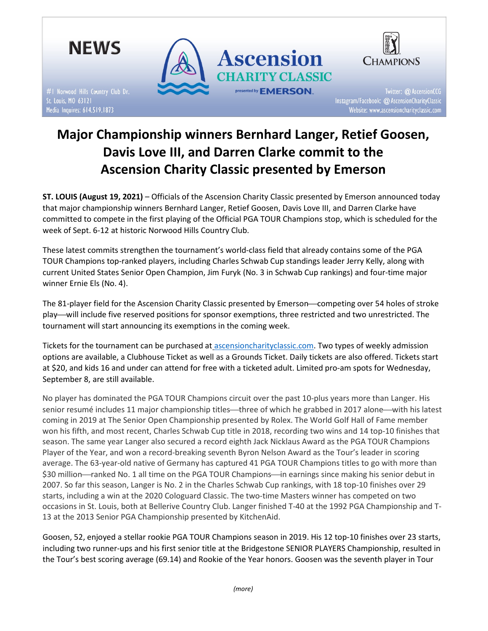

# Major Championship winners Bernhard Langer, Retief Goosen, Davis Love III, and Darren Clarke commit to the Ascension Charity Classic presented by Emerson

ST. LOUIS (August 19, 2021) – Officials of the Ascension Charity Classic presented by Emerson announced today that major championship winners Bernhard Langer, Retief Goosen, Davis Love III, and Darren Clarke have committed to compete in the first playing of the Official PGA TOUR Champions stop, which is scheduled for the week of Sept. 6-12 at historic Norwood Hills Country Club.

These latest commits strengthen the tournament's world-class field that already contains some of the PGA TOUR Champions top-ranked players, including Charles Schwab Cup standings leader Jerry Kelly, along with current United States Senior Open Champion, Jim Furyk (No. 3 in Schwab Cup rankings) and four-time major winner Ernie Els (No. 4).

The 81-player field for the Ascension Charity Classic presented by Emerson-competing over 54 holes of stroke play—will include five reserved positions for sponsor exemptions, three restricted and two unrestricted. The tournament will start announcing its exemptions in the coming week.

Tickets for the tournament can be purchased at ascensioncharityclassic.com. Two types of weekly admission options are available, a Clubhouse Ticket as well as a Grounds Ticket. Daily tickets are also offered. Tickets start at \$20, and kids 16 and under can attend for free with a ticketed adult. Limited pro-am spots for Wednesday, September 8, are still available.

No player has dominated the PGA TOUR Champions circuit over the past 10-plus years more than Langer. His senior resumé includes 11 major championship titles—three of which he grabbed in 2017 alone—with his latest coming in 2019 at The Senior Open Championship presented by Rolex. The World Golf Hall of Fame member won his fifth, and most recent, Charles Schwab Cup title in 2018, recording two wins and 14 top-10 finishes that season. The same year Langer also secured a record eighth Jack Nicklaus Award as the PGA TOUR Champions Player of the Year, and won a record-breaking seventh Byron Nelson Award as the Tour's leader in scoring average. The 63-year-old native of Germany has captured 41 PGA TOUR Champions titles to go with more than \$30 million—ranked No. 1 all time on the PGA TOUR Champions—in earnings since making his senior debut in 2007. So far this season, Langer is No. 2 in the Charles Schwab Cup rankings, with 18 top-10 finishes over 29 starts, including a win at the 2020 Cologuard Classic. The two-time Masters winner has competed on two occasions in St. Louis, both at Bellerive Country Club. Langer finished T-40 at the 1992 PGA Championship and T-13 at the 2013 Senior PGA Championship presented by KitchenAid.

Goosen, 52, enjoyed a stellar rookie PGA TOUR Champions season in 2019. His 12 top-10 finishes over 23 starts, including two runner-ups and his first senior title at the Bridgestone SENIOR PLAYERS Championship, resulted in the Tour's best scoring average (69.14) and Rookie of the Year honors. Goosen was the seventh player in Tour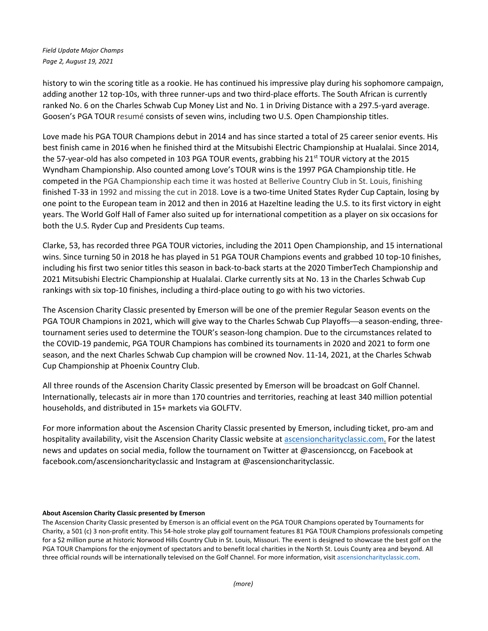Field Update Major Champs Page 2, August 19, 2021

history to win the scoring title as a rookie. He has continued his impressive play during his sophomore campaign, adding another 12 top-10s, with three runner-ups and two third-place efforts. The South African is currently ranked No. 6 on the Charles Schwab Cup Money List and No. 1 in Driving Distance with a 297.5-yard average. Goosen's PGA TOUR resumé consists of seven wins, including two U.S. Open Championship titles.

Love made his PGA TOUR Champions debut in 2014 and has since started a total of 25 career senior events. His best finish came in 2016 when he finished third at the Mitsubishi Electric Championship at Hualalai. Since 2014, the 57-year-old has also competed in 103 PGA TOUR events, grabbing his 21<sup>st</sup> TOUR victory at the 2015 Wyndham Championship. Also counted among Love's TOUR wins is the 1997 PGA Championship title. He competed in the PGA Championship each time it was hosted at Bellerive Country Club in St. Louis, finishing finished T-33 in 1992 and missing the cut in 2018. Love is a two-time United States Ryder Cup Captain, losing by one point to the European team in 2012 and then in 2016 at Hazeltine leading the U.S. to its first victory in eight years. The World Golf Hall of Famer also suited up for international competition as a player on six occasions for both the U.S. Ryder Cup and Presidents Cup teams.

Clarke, 53, has recorded three PGA TOUR victories, including the 2011 Open Championship, and 15 international wins. Since turning 50 in 2018 he has played in 51 PGA TOUR Champions events and grabbed 10 top-10 finishes, including his first two senior titles this season in back-to-back starts at the 2020 TimberTech Championship and 2021 Mitsubishi Electric Championship at Hualalai. Clarke currently sits at No. 13 in the Charles Schwab Cup rankings with six top-10 finishes, including a third-place outing to go with his two victories.

The Ascension Charity Classic presented by Emerson will be one of the premier Regular Season events on the PGA TOUR Champions in 2021, which will give way to the Charles Schwab Cup Playoffs—a season-ending, threetournament series used to determine the TOUR's season-long champion. Due to the circumstances related to the COVID-19 pandemic, PGA TOUR Champions has combined its tournaments in 2020 and 2021 to form one season, and the next Charles Schwab Cup champion will be crowned Nov. 11-14, 2021, at the Charles Schwab Cup Championship at Phoenix Country Club.

All three rounds of the Ascension Charity Classic presented by Emerson will be broadcast on Golf Channel. Internationally, telecasts air in more than 170 countries and territories, reaching at least 340 million potential households, and distributed in 15+ markets via GOLFTV.

For more information about the Ascension Charity Classic presented by Emerson, including ticket, pro-am and hospitality availability, visit the Ascension Charity Classic website at ascensioncharityclassic.com. For the latest news and updates on social media, follow the tournament on Twitter at @ascensionccg, on Facebook at facebook.com/ascensioncharityclassic and Instagram at @ascensioncharityclassic.

## About Ascension Charity Classic presented by Emerson

The Ascension Charity Classic presented by Emerson is an official event on the PGA TOUR Champions operated by Tournaments for Charity, a 501 (c) 3 non-profit entity. This 54-hole stroke play golf tournament features 81 PGA TOUR Champions professionals competing for a \$2 million purse at historic Norwood Hills Country Club in St. Louis, Missouri. The event is designed to showcase the best golf on the PGA TOUR Champions for the enjoyment of spectators and to benefit local charities in the North St. Louis County area and beyond. All three official rounds will be internationally televised on the Golf Channel. For more information, visit ascensioncharityclassic.com.